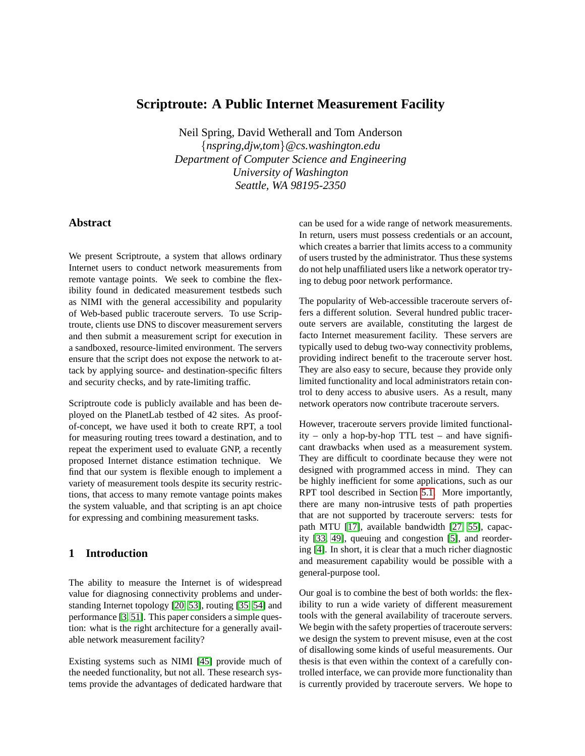# **Scriptroute: A Public Internet Measurement Facility**

Neil Spring, David Wetherall and Tom Anderson {*nspring,djw,tom*}*@cs.washington.edu Department of Computer Science and Engineering University of Washington Seattle, WA 98195-2350*

## **Abstract**

We present Scriptroute, a system that allows ordinary Internet users to conduct network measurements from remote vantage points. We seek to combine the flexibility found in dedicated measurement testbeds such as NIMI with the general accessibility and popularity of Web-based public traceroute servers. To use Scriptroute, clients use DNS to discover measurement servers and then submit a measurement script for execution in a sandboxed, resource-limited environment. The servers ensure that the script does not expose the network to attack by applying source- and destination-specific filters and security checks, and by rate-limiting traffic.

Scriptroute code is publicly available and has been deployed on the PlanetLab testbed of 42 sites. As proofof-concept, we have used it both to create RPT, a tool for measuring routing trees toward a destination, and to repeat the experiment used to evaluate GNP, a recently proposed Internet distance estimation technique. We find that our system is flexible enough to implement a variety of measurement tools despite its security restrictions, that access to many remote vantage points makes the system valuable, and that scripting is an apt choice for expressing and combining measurement tasks.

## **1 Introduction**

The ability to measure the Internet is of widespread value for diagnosing connectivity problems and understanding Internet topology [\[20,](#page-12-0) [53\]](#page-13-0), routing [\[35,](#page-13-1) [54\]](#page-13-2) and performance [\[3,](#page-12-1) [51\]](#page-13-3). This paper considers a simple question: what is the right architecture for a generally available network measurement facility?

Existing systems such as NIMI [\[45\]](#page-13-4) provide much of the needed functionality, but not all. These research systems provide the advantages of dedicated hardware that can be used for a wide range of network measurements. In return, users must possess credentials or an account, which creates a barrier that limits access to a community of users trusted by the administrator. Thus these systems do not help unaffiliated users like a network operator trying to debug poor network performance.

The popularity of Web-accessible traceroute servers offers a different solution. Several hundred public traceroute servers are available, constituting the largest de facto Internet measurement facility. These servers are typically used to debug two-way connectivity problems, providing indirect benefit to the traceroute server host. They are also easy to secure, because they provide only limited functionality and local administrators retain control to deny access to abusive users. As a result, many network operators now contribute traceroute servers.

However, traceroute servers provide limited functionality – only a hop-by-hop TTL test – and have significant drawbacks when used as a measurement system. They are difficult to coordinate because they were not designed with programmed access in mind. They can be highly inefficient for some applications, such as our RPT tool described in Section [5.1.](#page-9-0) More importantly, there are many non-intrusive tests of path properties that are not supported by traceroute servers: tests for path MTU [\[17\]](#page-12-2), available bandwidth [\[27,](#page-13-5) [55\]](#page-13-6), capacity [\[33,](#page-13-7) [49\]](#page-13-8), queuing and congestion [\[5\]](#page-12-3), and reordering [\[4\]](#page-12-4). In short, it is clear that a much richer diagnostic and measurement capability would be possible with a general-purpose tool.

Our goal is to combine the best of both worlds: the flexibility to run a wide variety of different measurement tools with the general availability of traceroute servers. We begin with the safety properties of traceroute servers: we design the system to prevent misuse, even at the cost of disallowing some kinds of useful measurements. Our thesis is that even within the context of a carefully controlled interface, we can provide more functionality than is currently provided by traceroute servers. We hope to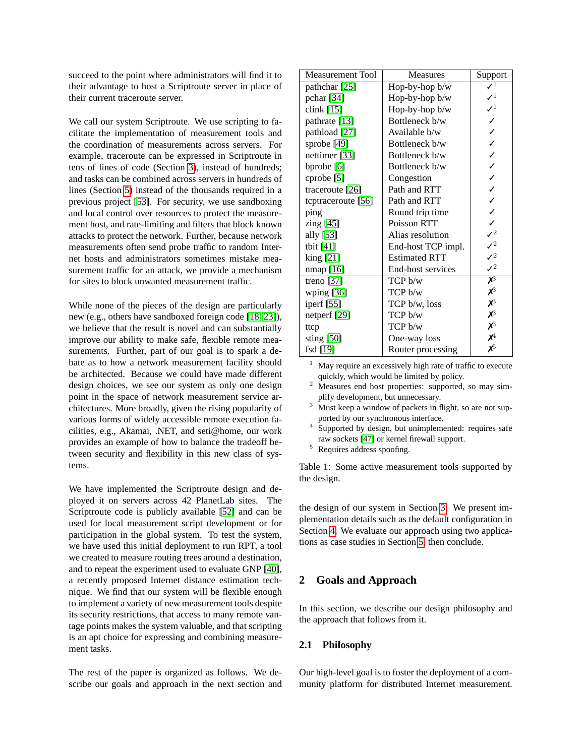succeed to the point where administrators will find it to their advantage to host a Scriptroute server in place of their current traceroute server.

We call our system Scriptroute. We use scripting to facilitate the implementation of measurement tools and the coordination of measurements across servers. For example, traceroute can be expressed in Scriptroute in tens of lines of code (Section [3\)](#page-4-0), instead of hundreds; and tasks can be combined across servers in hundreds of lines (Section [5\)](#page-9-1) instead of the thousands required in a previous project [\[53\]](#page-13-0). For security, we use sandboxing and local control over resources to protect the measurement host, and rate-limiting and filters that block known attacks to protect the network. Further, because network measurements often send probe traffic to random Internet hosts and administrators sometimes mistake measurement traffic for an attack, we provide a mechanism for sites to block unwanted measurement traffic.

While none of the pieces of the design are particularly new (e.g., others have sandboxed foreign code [\[18,](#page-12-5) [23\]](#page-12-6)), we believe that the result is novel and can substantially improve our ability to make safe, flexible remote measurements. Further, part of our goal is to spark a debate as to how a network measurement facility should be architected. Because we could have made different design choices, we see our system as only one design point in the space of network measurement service architectures. More broadly, given the rising popularity of various forms of widely accessible remote execution facilities, e.g., Akamai, .NET, and seti@home, our work provides an example of how to balance the tradeoff between security and flexibility in this new class of systems.

We have implemented the Scriptroute design and deployed it on servers across 42 PlanetLab sites. The Scriptroute code is publicly available [\[52\]](#page-13-9) and can be used for local measurement script development or for participation in the global system. To test the system, we have used this initial deployment to run RPT, a tool we created to measure routing trees around a destination, and to repeat the experiment used to evaluate GNP [\[40\]](#page-13-10), a recently proposed Internet distance estimation technique. We find that our system will be flexible enough to implement a variety of new measurement tools despite its security restrictions, that access to many remote vantage points makes the system valuable, and that scripting is an apt choice for expressing and combining measurement tasks.

The rest of the paper is organized as follows. We describe our goals and approach in the next section and

| <b>Measurement Tool</b> | Measures             | Support                     |
|-------------------------|----------------------|-----------------------------|
| pathchar [25]           | Hop-by-hop b/w       |                             |
| pchar [34]              | Hop-by-hop b/w       | $\mathcal{J}^1$             |
| clink $[15]$            | Hop-by-hop $b/w$     | $\mathcal{N}^1$             |
| pathrate [13]           | Bottleneck b/w       |                             |
| pathload [27]           | Available b/w        |                             |
| sprobe [49]             | Bottleneck b/w       |                             |
| nettimer $[33]$         | Bottleneck b/w       |                             |
| bprobe [6]              | Bottleneck b/w       |                             |
| cprobe [5]              | Congestion           |                             |
| traceroute $[26]$       | Path and RTT         |                             |
| tcptraceroute [56]      | Path and RTT         |                             |
| ping                    | Round trip time      |                             |
| zing [45]               | Poisson RTT          |                             |
| ally [53]               | Alias resolution     | $\mathcal{J}^2$             |
| tbit $[41]$             | End-host TCP impl.   | $\mathcal{J}^2$             |
| king [21]               | <b>Estimated RTT</b> | $\mathcal{J}^2$             |
| nmap [16]               | End-host services    | $\mathcal{J}^2$             |
| treno $[37]$            | TCP b/w              | $\chi^3$                    |
| wping [36]              | TCP b/w              | $\chi^3$                    |
| iperf [55]              | TCP b/w, loss        | $\chi^3$                    |
| netperf [29]            | TCP b/w              | $\chi^3$                    |
| ttcp                    | TCP b/w              | $\chi^3$                    |
| sting $[50]$            | One-way loss         | $\chi^4$                    |
| fsd [19]                | Router processing    | $\boldsymbol{\mathsf{x}}^5$ |

May require an excessively high rate of traffic to execute quickly, which would be limited by policy.

- <sup>2</sup> Measures end host properties: supported, so may simplify development, but unnecessary.
- $3$  Must keep a window of packets in flight, so are not supported by our synchronous interface.
- 4 Supported by design, but unimplemented: requires safe raw sockets [\[47\]](#page-13-20) or kernel firewall support.
- <span id="page-1-0"></span><sup>5</sup> Requires address spoofing.

Table 1: Some active measurement tools supported by the design.

the design of our system in Section [3.](#page-4-0) We present implementation details such as the default configuration in Section [4.](#page-7-0) We evaluate our approach using two applications as case studies in Section [5,](#page-9-1) then conclude.

## **2 Goals and Approach**

In this section, we describe our design philosophy and the approach that follows from it.

### **2.1 Philosophy**

Our high-level goal is to foster the deployment of a community platform for distributed Internet measurement.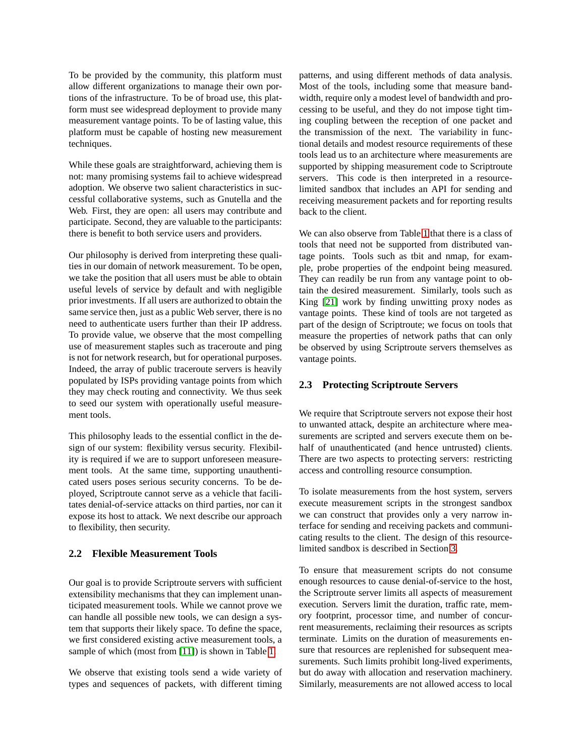To be provided by the community, this platform must allow different organizations to manage their own portions of the infrastructure. To be of broad use, this platform must see widespread deployment to provide many measurement vantage points. To be of lasting value, this platform must be capable of hosting new measurement techniques.

While these goals are straightforward, achieving them is not: many promising systems fail to achieve widespread adoption. We observe two salient characteristics in successful collaborative systems, such as Gnutella and the Web. First, they are open: all users may contribute and participate. Second, they are valuable to the participants: there is benefit to both service users and providers.

Our philosophy is derived from interpreting these qualities in our domain of network measurement. To be open, we take the position that all users must be able to obtain useful levels of service by default and with negligible prior investments. If all users are authorized to obtain the same service then, just as a public Web server, there is no need to authenticate users further than their IP address. To provide value, we observe that the most compelling use of measurement staples such as traceroute and ping is not for network research, but for operational purposes. Indeed, the array of public traceroute servers is heavily populated by ISPs providing vantage points from which they may check routing and connectivity. We thus seek to seed our system with operationally useful measurement tools.

This philosophy leads to the essential conflict in the design of our system: flexibility versus security. Flexibility is required if we are to support unforeseen measurement tools. At the same time, supporting unauthenticated users poses serious security concerns. To be deployed, Scriptroute cannot serve as a vehicle that facilitates denial-of-service attacks on third parties, nor can it expose its host to attack. We next describe our approach to flexibility, then security.

#### **2.2 Flexible Measurement Tools**

Our goal is to provide Scriptroute servers with sufficient extensibility mechanisms that they can implement unanticipated measurement tools. While we cannot prove we can handle all possible new tools, we can design a system that supports their likely space. To define the space, we first considered existing active measurement tools, a sample of which (most from [\[11\]](#page-12-13)) is shown in Table [1.](#page-1-0)

We observe that existing tools send a wide variety of types and sequences of packets, with different timing patterns, and using different methods of data analysis. Most of the tools, including some that measure bandwidth, require only a modest level of bandwidth and processing to be useful, and they do not impose tight timing coupling between the reception of one packet and the transmission of the next. The variability in functional details and modest resource requirements of these tools lead us to an architecture where measurements are supported by shipping measurement code to Scriptroute servers. This code is then interpreted in a resourcelimited sandbox that includes an API for sending and receiving measurement packets and for reporting results back to the client.

We can also observe from Table [1](#page-1-0) that there is a class of tools that need not be supported from distributed vantage points. Tools such as tbit and nmap, for example, probe properties of the endpoint being measured. They can readily be run from any vantage point to obtain the desired measurement. Similarly, tools such as King [\[21\]](#page-12-10) work by finding unwitting proxy nodes as vantage points. These kind of tools are not targeted as part of the design of Scriptroute; we focus on tools that measure the properties of network paths that can only be observed by using Scriptroute servers themselves as vantage points.

## **2.3 Protecting Scriptroute Servers**

We require that Scriptroute servers not expose their host to unwanted attack, despite an architecture where measurements are scripted and servers execute them on behalf of unauthenticated (and hence untrusted) clients. There are two aspects to protecting servers: restricting access and controlling resource consumption.

To isolate measurements from the host system, servers execute measurement scripts in the strongest sandbox we can construct that provides only a very narrow interface for sending and receiving packets and communicating results to the client. The design of this resourcelimited sandbox is described in Section [3.](#page-4-0)

To ensure that measurement scripts do not consume enough resources to cause denial-of-service to the host, the Scriptroute server limits all aspects of measurement execution. Servers limit the duration, traffic rate, memory footprint, processor time, and number of concurrent measurements, reclaiming their resources as scripts terminate. Limits on the duration of measurements ensure that resources are replenished for subsequent measurements. Such limits prohibit long-lived experiments, but do away with allocation and reservation machinery. Similarly, measurements are not allowed access to local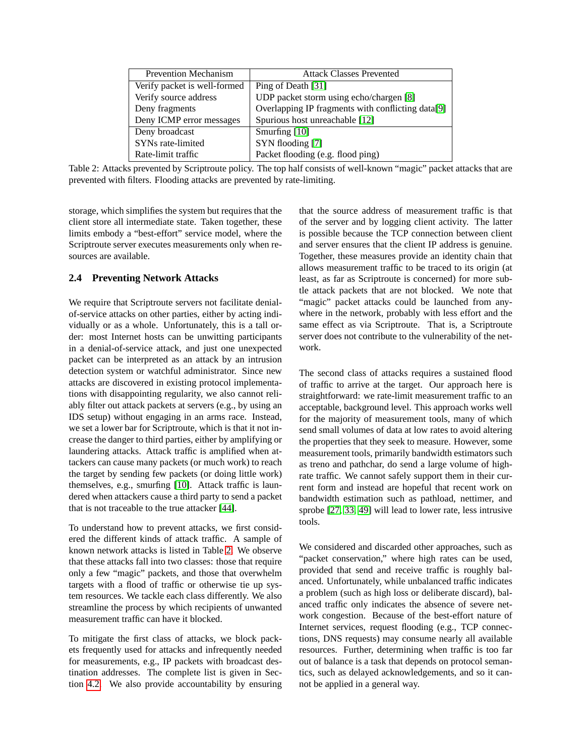| <b>Prevention Mechanism</b>  | <b>Attack Classes Prevented</b>                   |  |
|------------------------------|---------------------------------------------------|--|
| Verify packet is well-formed | Ping of Death [31]                                |  |
| Verify source address        | UDP packet storm using echo/chargen [8]           |  |
| Deny fragments               | Overlapping IP fragments with conflicting data[9] |  |
| Deny ICMP error messages     | Spurious host unreachable [12]                    |  |
| Deny broadcast               | Smurfing $[10]$                                   |  |
| SYNs rate-limited            | SYN flooding [7]                                  |  |
| Rate-limit traffic           | Packet flooding (e.g. flood ping)                 |  |

<span id="page-3-0"></span>Table 2: Attacks prevented by Scriptroute policy. The top half consists of well-known "magic" packet attacks that are prevented with filters. Flooding attacks are prevented by rate-limiting.

storage, which simplifies the system but requires that the client store all intermediate state. Taken together, these limits embody a "best-effort" service model, where the Scriptroute server executes measurements only when resources are available.

## **2.4 Preventing Network Attacks**

We require that Scriptroute servers not facilitate denialof-service attacks on other parties, either by acting individually or as a whole. Unfortunately, this is a tall order: most Internet hosts can be unwitting participants in a denial-of-service attack, and just one unexpected packet can be interpreted as an attack by an intrusion detection system or watchful administrator. Since new attacks are discovered in existing protocol implementations with disappointing regularity, we also cannot reliably filter out attack packets at servers (e.g., by using an IDS setup) without engaging in an arms race. Instead, we set a lower bar for Scriptroute, which is that it not increase the danger to third parties, either by amplifying or laundering attacks. Attack traffic is amplified when attackers can cause many packets (or much work) to reach the target by sending few packets (or doing little work) themselves, e.g., smurfing [\[10\]](#page-12-17). Attack traffic is laundered when attackers cause a third party to send a packet that is not traceable to the true attacker [\[44\]](#page-13-22).

To understand how to prevent attacks, we first considered the different kinds of attack traffic. A sample of known network attacks is listed in Table [2.](#page-3-0) We observe that these attacks fall into two classes: those that require only a few "magic" packets, and those that overwhelm targets with a flood of traffic or otherwise tie up system resources. We tackle each class differently. We also streamline the process by which recipients of unwanted measurement traffic can have it blocked.

To mitigate the first class of attacks, we block packets frequently used for attacks and infrequently needed for measurements, e.g., IP packets with broadcast destination addresses. The complete list is given in Section [4.2.](#page-8-0) We also provide accountability by ensuring that the source address of measurement traffic is that of the server and by logging client activity. The latter is possible because the TCP connection between client and server ensures that the client IP address is genuine. Together, these measures provide an identity chain that allows measurement traffic to be traced to its origin (at least, as far as Scriptroute is concerned) for more subtle attack packets that are not blocked. We note that "magic" packet attacks could be launched from anywhere in the network, probably with less effort and the same effect as via Scriptroute. That is, a Scriptroute server does not contribute to the vulnerability of the network.

The second class of attacks requires a sustained flood of traffic to arrive at the target. Our approach here is straightforward: we rate-limit measurement traffic to an acceptable, background level. This approach works well for the majority of measurement tools, many of which send small volumes of data at low rates to avoid altering the properties that they seek to measure. However, some measurement tools, primarily bandwidth estimators such as treno and pathchar, do send a large volume of highrate traffic. We cannot safely support them in their current form and instead are hopeful that recent work on bandwidth estimation such as pathload, nettimer, and sprobe [\[27,](#page-13-5) [33,](#page-13-7) [49\]](#page-13-8) will lead to lower rate, less intrusive tools.

We considered and discarded other approaches, such as "packet conservation," where high rates can be used, provided that send and receive traffic is roughly balanced. Unfortunately, while unbalanced traffic indicates a problem (such as high loss or deliberate discard), balanced traffic only indicates the absence of severe network congestion. Because of the best-effort nature of Internet services, request flooding (e.g., TCP connections, DNS requests) may consume nearly all available resources. Further, determining when traffic is too far out of balance is a task that depends on protocol semantics, such as delayed acknowledgements, and so it cannot be applied in a general way.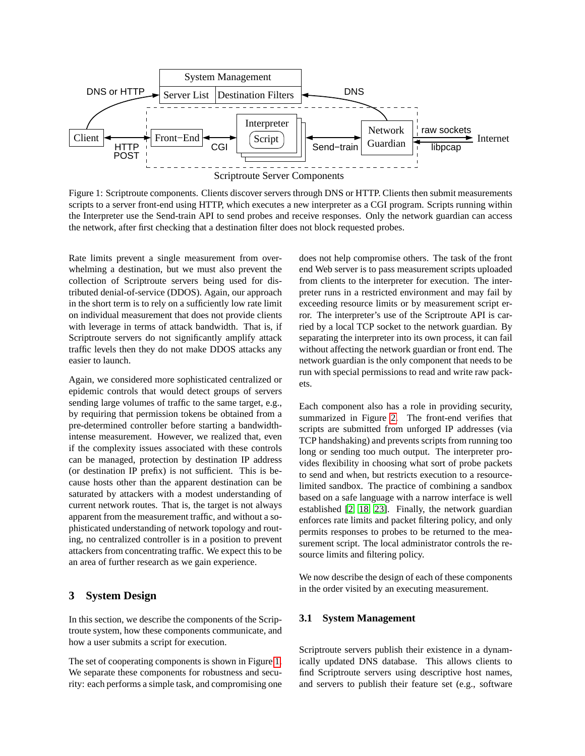

<span id="page-4-1"></span>Figure 1: Scriptroute components. Clients discover servers through DNS or HTTP. Clients then submit measurements scripts to a server front-end using HTTP, which executes a new interpreter as a CGI program. Scripts running within the Interpreter use the Send-train API to send probes and receive responses. Only the network guardian can access the network, after first checking that a destination filter does not block requested probes.

Rate limits prevent a single measurement from overwhelming a destination, but we must also prevent the collection of Scriptroute servers being used for distributed denial-of-service (DDOS). Again, our approach in the short term is to rely on a sufficiently low rate limit on individual measurement that does not provide clients with leverage in terms of attack bandwidth. That is, if Scriptroute servers do not significantly amplify attack traffic levels then they do not make DDOS attacks any easier to launch.

Again, we considered more sophisticated centralized or epidemic controls that would detect groups of servers sending large volumes of traffic to the same target, e.g., by requiring that permission tokens be obtained from a pre-determined controller before starting a bandwidthintense measurement. However, we realized that, even if the complexity issues associated with these controls can be managed, protection by destination IP address (or destination IP prefix) is not sufficient. This is because hosts other than the apparent destination can be saturated by attackers with a modest understanding of current network routes. That is, the target is not always apparent from the measurement traffic, and without a sophisticated understanding of network topology and routing, no centralized controller is in a position to prevent attackers from concentrating traffic. We expect this to be an area of further research as we gain experience.

## <span id="page-4-0"></span>**3 System Design**

In this section, we describe the components of the Scriptroute system, how these components communicate, and how a user submits a script for execution.

The set of cooperating components is shown in Figure [1.](#page-4-1) We separate these components for robustness and security: each performs a simple task, and compromising one does not help compromise others. The task of the front end Web server is to pass measurement scripts uploaded from clients to the interpreter for execution. The interpreter runs in a restricted environment and may fail by exceeding resource limits or by measurement script error. The interpreter's use of the Scriptroute API is carried by a local TCP socket to the network guardian. By separating the interpreter into its own process, it can fail without affecting the network guardian or front end. The network guardian is the only component that needs to be run with special permissions to read and write raw packets.

Each component also has a role in providing security, summarized in Figure [2.](#page-5-0) The front-end verifies that scripts are submitted from unforged IP addresses (via TCP handshaking) and prevents scripts from running too long or sending too much output. The interpreter provides flexibility in choosing what sort of probe packets to send and when, but restricts execution to a resourcelimited sandbox. The practice of combining a sandbox based on a safe language with a narrow interface is well established [\[2,](#page-12-19) [18,](#page-12-5) [23\]](#page-12-6). Finally, the network guardian enforces rate limits and packet filtering policy, and only permits responses to probes to be returned to the measurement script. The local administrator controls the resource limits and filtering policy.

We now describe the design of each of these components in the order visited by an executing measurement.

#### <span id="page-4-2"></span>**3.1 System Management**

Scriptroute servers publish their existence in a dynamically updated DNS database. This allows clients to find Scriptroute servers using descriptive host names, and servers to publish their feature set (e.g., software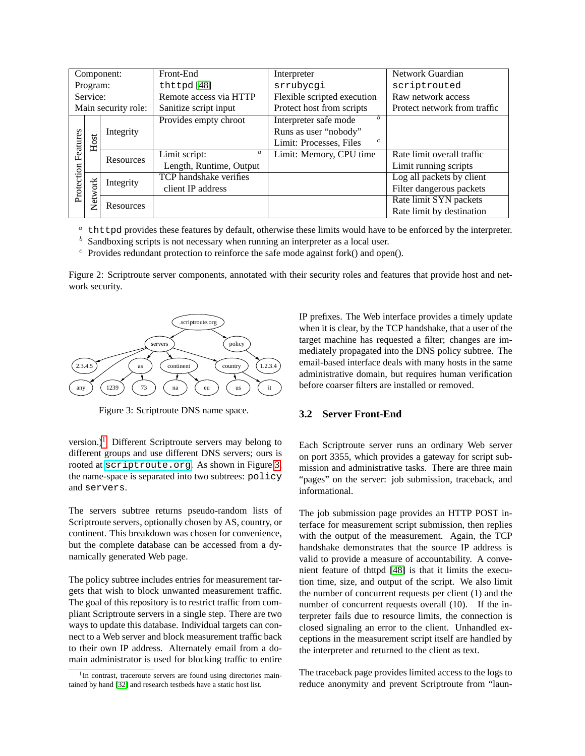|                     |                                            | Component: | Front-End                         | Interpreter                               | Network Guardian             |
|---------------------|--------------------------------------------|------------|-----------------------------------|-------------------------------------------|------------------------------|
|                     | Program:<br>thttpd $[48]$                  |            |                                   | srrubycgi                                 | scriptrouted                 |
| Service:            |                                            |            | Remote access via HTTP            | Flexible scripted execution               | Raw network access           |
| Main security role: |                                            |            | Sanitize script input             | Protect host from scripts                 | Protect network from traffic |
|                     |                                            |            | Provides empty chroot             | Interpreter safe mode                     |                              |
|                     |                                            | Integrity  |                                   | Runs as user "nobody"                     |                              |
| Features            | Host                                       |            |                                   | $\mathfrak{c}$<br>Limit: Processes, Files |                              |
|                     |                                            | Resources  | Limit script:<br>$\boldsymbol{a}$ | Limit: Memory, CPU time                   | Rate limit overall traffic   |
|                     |                                            |            | Length, Runtime, Output           |                                           | Limit running scripts        |
|                     | <b>TCP</b> handshake verifies<br>Integrity |            |                                   |                                           | Log all packets by client    |
| Protection          | Network                                    |            | client IP address                 |                                           | Filter dangerous packets     |
|                     |                                            | Resources  |                                   |                                           | Rate limit SYN packets       |
|                     |                                            |            |                                   |                                           | Rate limit by destination    |

 $a<sup>a</sup>$  thttpd provides these features by default, otherwise these limits would have to be enforced by the interpreter.

 $<sup>b</sup>$  Sandboxing scripts is not necessary when running an interpreter as a local user.</sup>

 $\epsilon$  Provides redundant protection to reinforce the safe mode against fork() and open().

<span id="page-5-0"></span>Figure 2: Scriptroute server components, annotated with their security roles and features that provide host and network security.



<span id="page-5-2"></span>Figure 3: Scriptroute DNS name space.

version.)<sup>[1](#page-5-1)</sup> Different Scriptroute servers may belong to different groups and use different DNS servers; ours is rooted at <scriptroute.org>. As shown in Figure [3,](#page-5-2) the name-space is separated into two subtrees: policy and servers.

The servers subtree returns pseudo-random lists of Scriptroute servers, optionally chosen by AS, country, or continent. This breakdown was chosen for convenience, but the complete database can be accessed from a dynamically generated Web page.

The policy subtree includes entries for measurement targets that wish to block unwanted measurement traffic. The goal of this repository is to restrict traffic from compliant Scriptroute servers in a single step. There are two ways to update this database. Individual targets can connect to a Web server and block measurement traffic back to their own IP address. Alternately email from a domain administrator is used for blocking traffic to entire IP prefixes. The Web interface provides a timely update when it is clear, by the TCP handshake, that a user of the target machine has requested a filter; changes are immediately propagated into the DNS policy subtree. The email-based interface deals with many hosts in the same administrative domain, but requires human verification before coarser filters are installed or removed.

#### **3.2 Server Front-End**

Each Scriptroute server runs an ordinary Web server on port 3355, which provides a gateway for script submission and administrative tasks. There are three main "pages" on the server: job submission, traceback, and informational.

The job submission page provides an HTTP POST interface for measurement script submission, then replies with the output of the measurement. Again, the TCP handshake demonstrates that the source IP address is valid to provide a measure of accountability. A convenient feature of thttpd [\[48\]](#page-13-23) is that it limits the execution time, size, and output of the script. We also limit the number of concurrent requests per client (1) and the number of concurrent requests overall (10). If the interpreter fails due to resource limits, the connection is closed signaling an error to the client. Unhandled exceptions in the measurement script itself are handled by the interpreter and returned to the client as text.

The traceback page provides limited access to the logs to reduce anonymity and prevent Scriptroute from "laun-

<span id="page-5-1"></span><sup>&</sup>lt;sup>1</sup>In contrast, traceroute servers are found using directories maintained by hand [\[32\]](#page-13-24) and research testbeds have a static host list.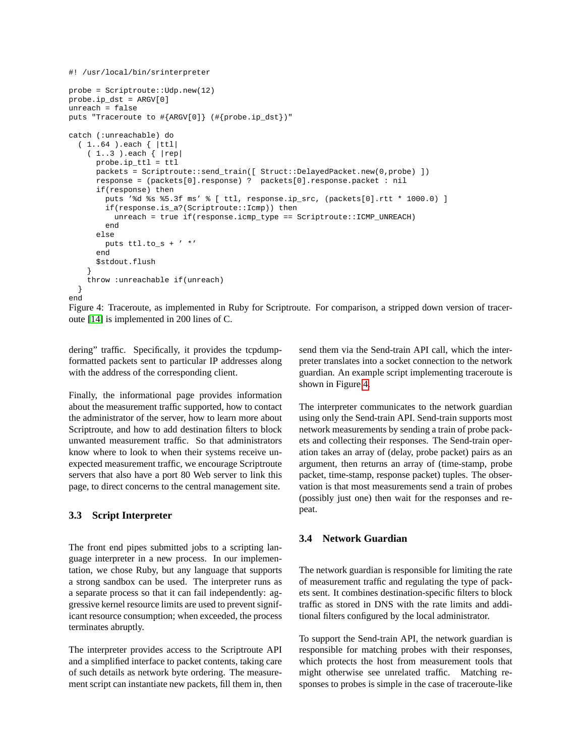```
#! /usr/local/bin/srinterpreter
probe = Scriptroute::Udp.new(12)
probe.ip_dst = ARGV[0]
unreach = false
puts "Traceroute to #{ARGV[0]} (#{probe.ip_dst})"
catch (:unreachable) do
  ( 1..64 ).each { |ttl|
    ( 1..3 ).each { |rep|
     probe.ip_ttl = ttl
     packets = Scriptroute::send_train([ Struct::DelayedPacket.new(0,probe) ])
      response = (packets[0].response) ? packets[0].response.packet : nil
     if(response) then
        puts '%d %s %5.3f ms' % [ ttl, response.ip_src, (packets[0].rtt * 1000.0) ]
        if(response.is_a?(Scriptroute::Icmp)) then
          unreach = true if(response.icmp type == Scriptroute::ICMP_UNREACH)
        end
      else
       puts ttl.to_s + ' *'
      end
      $stdout.flush
    }
    throw :unreachable if(unreach)
  }
end
```
<span id="page-6-0"></span>Figure 4: Traceroute, as implemented in Ruby for Scriptroute. For comparison, a stripped down version of traceroute [\[14\]](#page-12-20) is implemented in 200 lines of C.

dering" traffic. Specifically, it provides the tcpdumpformatted packets sent to particular IP addresses along with the address of the corresponding client.

Finally, the informational page provides information about the measurement traffic supported, how to contact the administrator of the server, how to learn more about Scriptroute, and how to add destination filters to block unwanted measurement traffic. So that administrators know where to look to when their systems receive unexpected measurement traffic, we encourage Scriptroute servers that also have a port 80 Web server to link this page, to direct concerns to the central management site.

#### **3.3 Script Interpreter**

The front end pipes submitted jobs to a scripting language interpreter in a new process. In our implementation, we chose Ruby, but any language that supports a strong sandbox can be used. The interpreter runs as a separate process so that it can fail independently: aggressive kernel resource limits are used to prevent significant resource consumption; when exceeded, the process terminates abruptly.

The interpreter provides access to the Scriptroute API and a simplified interface to packet contents, taking care of such details as network byte ordering. The measurement script can instantiate new packets, fill them in, then send them via the Send-train API call, which the interpreter translates into a socket connection to the network guardian. An example script implementing traceroute is shown in Figure [4.](#page-6-0)

The interpreter communicates to the network guardian using only the Send-train API. Send-train supports most network measurements by sending a train of probe packets and collecting their responses. The Send-train operation takes an array of (delay, probe packet) pairs as an argument, then returns an array of (time-stamp, probe packet, time-stamp, response packet) tuples. The observation is that most measurements send a train of probes (possibly just one) then wait for the responses and repeat.

## **3.4 Network Guardian**

The network guardian is responsible for limiting the rate of measurement traffic and regulating the type of packets sent. It combines destination-specific filters to block traffic as stored in DNS with the rate limits and additional filters configured by the local administrator.

To support the Send-train API, the network guardian is responsible for matching probes with their responses, which protects the host from measurement tools that might otherwise see unrelated traffic. Matching responses to probes is simple in the case of traceroute-like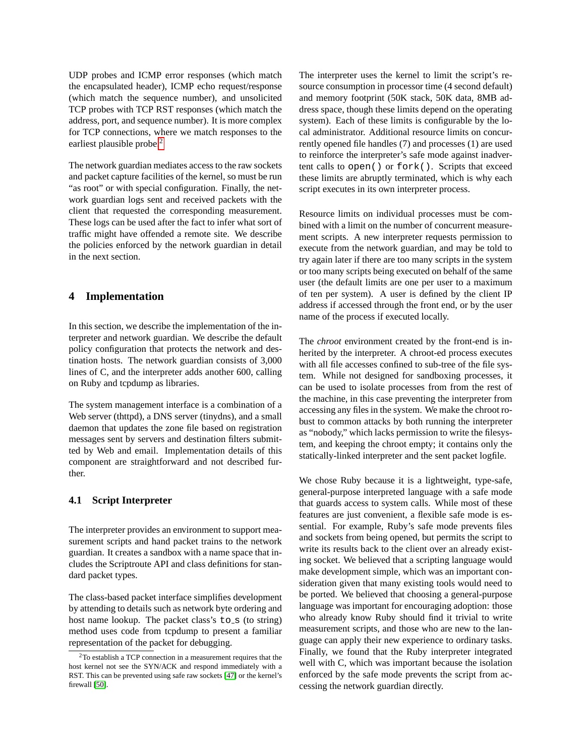UDP probes and ICMP error responses (which match the encapsulated header), ICMP echo request/response (which match the sequence number), and unsolicited TCP probes with TCP RST responses (which match the address, port, and sequence number). It is more complex for TCP connections, where we match responses to the earliest plausible probe.<sup>[2](#page-7-1)</sup>

The network guardian mediates access to the raw sockets and packet capture facilities of the kernel, so must be run "as root" or with special configuration. Finally, the network guardian logs sent and received packets with the client that requested the corresponding measurement. These logs can be used after the fact to infer what sort of traffic might have offended a remote site. We describe the policies enforced by the network guardian in detail in the next section.

### <span id="page-7-0"></span>**4 Implementation**

In this section, we describe the implementation of the interpreter and network guardian. We describe the default policy configuration that protects the network and destination hosts. The network guardian consists of 3,000 lines of C, and the interpreter adds another 600, calling on Ruby and tcpdump as libraries.

The system management interface is a combination of a Web server (thttpd), a DNS server (tinydns), and a small daemon that updates the zone file based on registration messages sent by servers and destination filters submitted by Web and email. Implementation details of this component are straightforward and not described further.

### **4.1 Script Interpreter**

The interpreter provides an environment to support measurement scripts and hand packet trains to the network guardian. It creates a sandbox with a name space that includes the Scriptroute API and class definitions for standard packet types.

The class-based packet interface simplifies development by attending to details such as network byte ordering and host name lookup. The packet class's  $\tau$ o\_s (to string) method uses code from tcpdump to present a familiar representation of the packet for debugging.

The interpreter uses the kernel to limit the script's resource consumption in processor time (4 second default) and memory footprint (50K stack, 50K data, 8MB address space, though these limits depend on the operating system). Each of these limits is configurable by the local administrator. Additional resource limits on concurrently opened file handles (7) and processes (1) are used to reinforce the interpreter's safe mode against inadvertent calls to open() or fork(). Scripts that exceed these limits are abruptly terminated, which is why each script executes in its own interpreter process.

Resource limits on individual processes must be combined with a limit on the number of concurrent measurement scripts. A new interpreter requests permission to execute from the network guardian, and may be told to try again later if there are too many scripts in the system or too many scripts being executed on behalf of the same user (the default limits are one per user to a maximum of ten per system). A user is defined by the client IP address if accessed through the front end, or by the user name of the process if executed locally.

The *chroot* environment created by the front-end is inherited by the interpreter. A chroot-ed process executes with all file accesses confined to sub-tree of the file system. While not designed for sandboxing processes, it can be used to isolate processes from from the rest of the machine, in this case preventing the interpreter from accessing any files in the system. We make the chroot robust to common attacks by both running the interpreter as "nobody," which lacks permission to write the filesystem, and keeping the chroot empty; it contains only the statically-linked interpreter and the sent packet logfile.

We chose Ruby because it is a lightweight, type-safe, general-purpose interpreted language with a safe mode that guards access to system calls. While most of these features are just convenient, a flexible safe mode is essential. For example, Ruby's safe mode prevents files and sockets from being opened, but permits the script to write its results back to the client over an already existing socket. We believed that a scripting language would make development simple, which was an important consideration given that many existing tools would need to be ported. We believed that choosing a general-purpose language was important for encouraging adoption: those who already know Ruby should find it trivial to write measurement scripts, and those who are new to the language can apply their new experience to ordinary tasks. Finally, we found that the Ruby interpreter integrated well with C, which was important because the isolation enforced by the safe mode prevents the script from accessing the network guardian directly.

<span id="page-7-1"></span><sup>2</sup>To establish a TCP connection in a measurement requires that the host kernel not see the SYN/ACK and respond immediately with a RST. This can be prevented using safe raw sockets [\[47\]](#page-13-20) or the kernel's firewall [\[50\]](#page-13-19).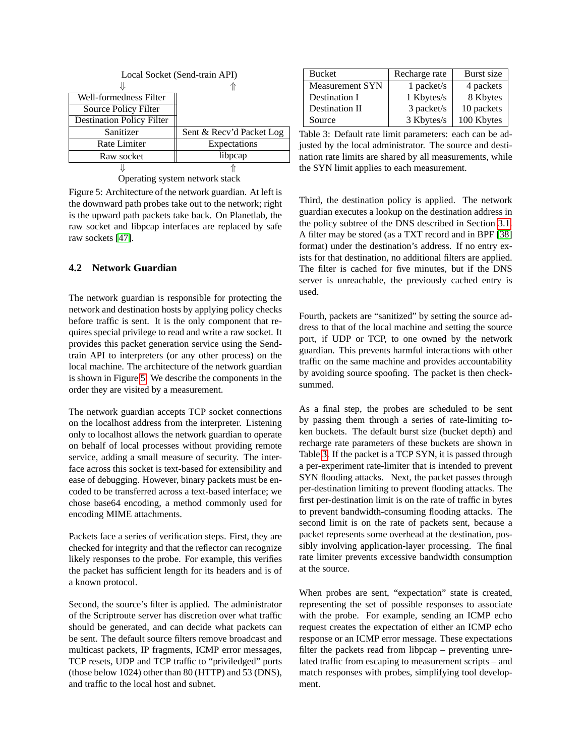| Local Socket (Send-train API) |                          |
|-------------------------------|--------------------------|
|                               |                          |
| Well-formedness Filter        |                          |
| Source Policy Filter          |                          |
| Destination Policy Filter     |                          |
| Sanitizer                     | Sent & Recv'd Packet Log |
| Rate Limiter                  | Expectations             |
| Raw socket                    | libpcap                  |
|                               |                          |

<span id="page-8-1"></span>Operating system network stack

Figure 5: Architecture of the network guardian. At left is the downward path probes take out to the network; right is the upward path packets take back. On Planetlab, the raw socket and libpcap interfaces are replaced by safe raw sockets [\[47\]](#page-13-20).

## <span id="page-8-0"></span>**4.2 Network Guardian**

The network guardian is responsible for protecting the network and destination hosts by applying policy checks before traffic is sent. It is the only component that requires special privilege to read and write a raw socket. It provides this packet generation service using the Sendtrain API to interpreters (or any other process) on the local machine. The architecture of the network guardian is shown in Figure [5.](#page-8-1) We describe the components in the order they are visited by a measurement.

The network guardian accepts TCP socket connections on the localhost address from the interpreter. Listening only to localhost allows the network guardian to operate on behalf of local processes without providing remote service, adding a small measure of security. The interface across this socket is text-based for extensibility and ease of debugging. However, binary packets must be encoded to be transferred across a text-based interface; we chose base64 encoding, a method commonly used for encoding MIME attachments.

Packets face a series of verification steps. First, they are checked for integrity and that the reflector can recognize likely responses to the probe. For example, this verifies the packet has sufficient length for its headers and is of a known protocol.

Second, the source's filter is applied. The administrator of the Scriptroute server has discretion over what traffic should be generated, and can decide what packets can be sent. The default source filters remove broadcast and multicast packets, IP fragments, ICMP error messages, TCP resets, UDP and TCP traffic to "priviledged" ports (those below 1024) other than 80 (HTTP) and 53 (DNS), and traffic to the local host and subnet.

| <b>Bucket</b>          | Recharge rate | Burst size |
|------------------------|---------------|------------|
| <b>Measurement SYN</b> | 1 packet/s    | 4 packets  |
| Destination I          | 1 Kbytes/s    | 8 Kbytes   |
| Destination II         | 3 packet/s    | 10 packets |
| Source                 | 3 Kbytes/s    | 100 Kbytes |

<span id="page-8-2"></span>Table 3: Default rate limit parameters: each can be adjusted by the local administrator. The source and destination rate limits are shared by all measurements, while the SYN limit applies to each measurement.

Third, the destination policy is applied. The network guardian executes a lookup on the destination address in the policy subtree of the DNS described in Section [3.1.](#page-4-2) A filter may be stored (as a TXT record and in BPF [\[38\]](#page-13-25) format) under the destination's address. If no entry exists for that destination, no additional filters are applied. The filter is cached for five minutes, but if the DNS server is unreachable, the previously cached entry is used.

Fourth, packets are "sanitized" by setting the source address to that of the local machine and setting the source port, if UDP or TCP, to one owned by the network guardian. This prevents harmful interactions with other traffic on the same machine and provides accountability by avoiding source spoofing. The packet is then checksummed.

As a final step, the probes are scheduled to be sent by passing them through a series of rate-limiting token buckets. The default burst size (bucket depth) and recharge rate parameters of these buckets are shown in Table [3.](#page-8-2) If the packet is a TCP SYN, it is passed through a per-experiment rate-limiter that is intended to prevent SYN flooding attacks. Next, the packet passes through per-destination limiting to prevent flooding attacks. The first per-destination limit is on the rate of traffic in bytes to prevent bandwidth-consuming flooding attacks. The second limit is on the rate of packets sent, because a packet represents some overhead at the destination, possibly involving application-layer processing. The final rate limiter prevents excessive bandwidth consumption at the source.

When probes are sent, "expectation" state is created, representing the set of possible responses to associate with the probe. For example, sending an ICMP echo request creates the expectation of either an ICMP echo response or an ICMP error message. These expectations filter the packets read from libpcap – preventing unrelated traffic from escaping to measurement scripts – and match responses with probes, simplifying tool development.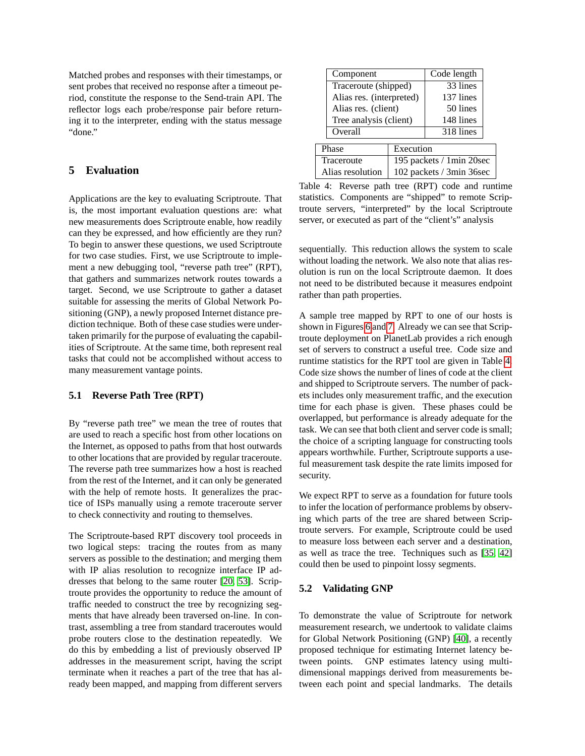Matched probes and responses with their timestamps, or sent probes that received no response after a timeout period, constitute the response to the Send-train API. The reflector logs each probe/response pair before returning it to the interpreter, ending with the status message "done."

## <span id="page-9-1"></span>**5 Evaluation**

Applications are the key to evaluating Scriptroute. That is, the most important evaluation questions are: what new measurements does Scriptroute enable, how readily can they be expressed, and how efficiently are they run? To begin to answer these questions, we used Scriptroute for two case studies. First, we use Scriptroute to implement a new debugging tool, "reverse path tree" (RPT), that gathers and summarizes network routes towards a target. Second, we use Scriptroute to gather a dataset suitable for assessing the merits of Global Network Positioning (GNP), a newly proposed Internet distance prediction technique. Both of these case studies were undertaken primarily for the purpose of evaluating the capabilities of Scriptroute. At the same time, both represent real tasks that could not be accomplished without access to many measurement vantage points.

#### <span id="page-9-0"></span>**5.1 Reverse Path Tree (RPT)**

By "reverse path tree" we mean the tree of routes that are used to reach a specific host from other locations on the Internet, as opposed to paths from that host outwards to other locations that are provided by regular traceroute. The reverse path tree summarizes how a host is reached from the rest of the Internet, and it can only be generated with the help of remote hosts. It generalizes the practice of ISPs manually using a remote traceroute server to check connectivity and routing to themselves.

The Scriptroute-based RPT discovery tool proceeds in two logical steps: tracing the routes from as many servers as possible to the destination; and merging them with IP alias resolution to recognize interface IP addresses that belong to the same router [\[20,](#page-12-0) [53\]](#page-13-0). Scriptroute provides the opportunity to reduce the amount of traffic needed to construct the tree by recognizing segments that have already been traversed on-line. In contrast, assembling a tree from standard traceroutes would probe routers close to the destination repeatedly. We do this by embedding a list of previously observed IP addresses in the measurement script, having the script terminate when it reaches a part of the tree that has already been mapped, and mapping from different servers

|                          | Component |                          |  |
|--------------------------|-----------|--------------------------|--|
| Traceroute (shipped)     |           | 33 lines                 |  |
| Alias res. (interpreted) |           | 137 lines                |  |
| Alias res. (client)      |           | 50 lines                 |  |
| Tree analysis (client)   |           | 148 lines                |  |
| Overall                  |           | 318 lines                |  |
| Phase                    | Execution |                          |  |
| Traceroute               |           | 195 packets / 1min 20sec |  |
| Alias resolution         |           | 102 packets / 3min 36sec |  |

<span id="page-9-2"></span>Table 4: Reverse path tree (RPT) code and runtime statistics. Components are "shipped" to remote Scriptroute servers, "interpreted" by the local Scriptroute server, or executed as part of the "client's" analysis

sequentially. This reduction allows the system to scale without loading the network. We also note that alias resolution is run on the local Scriptroute daemon. It does not need to be distributed because it measures endpoint rather than path properties.

A sample tree mapped by RPT to one of our hosts is shown in Figures [6](#page-10-0) and [7.](#page-10-1) Already we can see that Scriptroute deployment on PlanetLab provides a rich enough set of servers to construct a useful tree. Code size and runtime statistics for the RPT tool are given in Table [4.](#page-9-2) Code size shows the number of lines of code at the client and shipped to Scriptroute servers. The number of packets includes only measurement traffic, and the execution time for each phase is given. These phases could be overlapped, but performance is already adequate for the task. We can see that both client and server code is small; the choice of a scripting language for constructing tools appears worthwhile. Further, Scriptroute supports a useful measurement task despite the rate limits imposed for security.

We expect RPT to serve as a foundation for future tools to infer the location of performance problems by observing which parts of the tree are shared between Scriptroute servers. For example, Scriptroute could be used to measure loss between each server and a destination, as well as trace the tree. Techniques such as [\[35,](#page-13-1) [42\]](#page-13-26) could then be used to pinpoint lossy segments.

#### **5.2 Validating GNP**

To demonstrate the value of Scriptroute for network measurement research, we undertook to validate claims for Global Network Positioning (GNP) [\[40\]](#page-13-10), a recently proposed technique for estimating Internet latency between points. GNP estimates latency using multidimensional mappings derived from measurements between each point and special landmarks. The details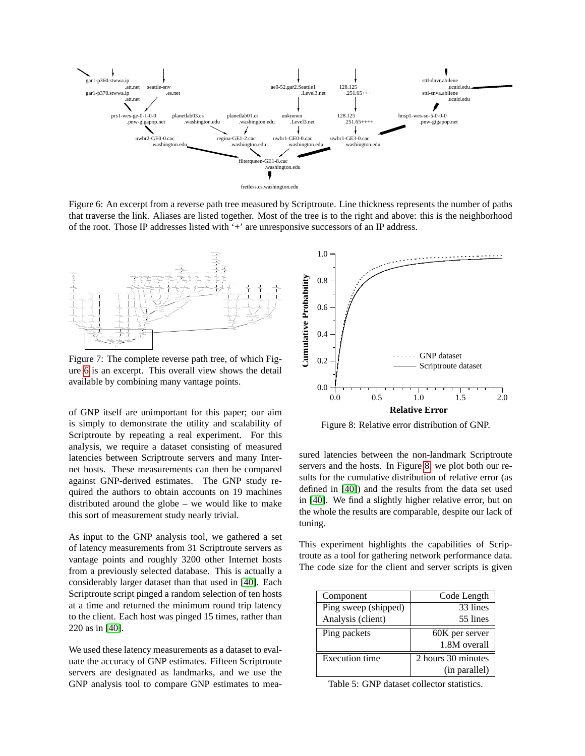

<span id="page-10-0"></span>Figure 6: An excerpt from a reverse path tree measured by Scriptroute. Line thickness represents the number of paths that traverse the link. Aliases are listed together. Most of the tree is to the right and above: this is the neighborhood of the root. Those IP addresses listed with '+' are unresponsive successors of an IP address.



<span id="page-10-1"></span>Figure 7: The complete reverse path tree, of which Figure [6](#page-10-0) is an excerpt. This overall view shows the detail available by combining many vantage points.

of GNP itself are unimportant for this paper; our aim is simply to demonstrate the utility and scalability of Scriptroute by repeating a real experiment. For this analysis, we require a dataset consisting of measured latencies between Scriptroute servers and many Internet hosts. These measurements can then be compared against GNP-derived estimates. The GNP study required the authors to obtain accounts on 19 machines distributed around the globe – we would like to make this sort of measurement study nearly trivial.

As input to the GNP analysis tool, we gathered a set of latency measurements from 31 Scriptroute servers as vantage points and roughly 3200 other Internet hosts from a previously selected database. This is actually a considerably larger dataset than that used in [\[40\]](#page-13-10). Each Scriptroute script pinged a random selection of ten hosts at a time and returned the minimum round trip latency to the client. Each host was pinged 15 times, rather than 220 as in [\[40\]](#page-13-10).

We used these latency measurements as a dataset to evaluate the accuracy of GNP estimates. Fifteen Scriptroute servers are designated as landmarks, and we use the GNP analysis tool to compare GNP estimates to mea-



<span id="page-10-2"></span>Figure 8: Relative error distribution of GNP.

sured latencies between the non-landmark Scriptroute servers and the hosts. In Figure [8,](#page-10-2) we plot both our results for the cumulative distribution of relative error (as defined in [\[40\]](#page-13-10)) and the results from the data set used in [\[40\]](#page-13-10). We find a slightly higher relative error, but on the whole the results are comparable, despite our lack of tuning.

This experiment highlights the capabilities of Scriptroute as a tool for gathering network performance data. The code size for the client and server scripts is given

| Component             | Code Length        |
|-----------------------|--------------------|
| Ping sweep (shipped)  | 33 lines           |
| Analysis (client)     | 55 lines           |
| Ping packets          | 60K per server     |
|                       | 1.8M overall       |
| <b>Execution time</b> | 2 hours 30 minutes |
|                       | (in parallel)      |

<span id="page-10-3"></span>Table 5: GNP dataset collector statistics.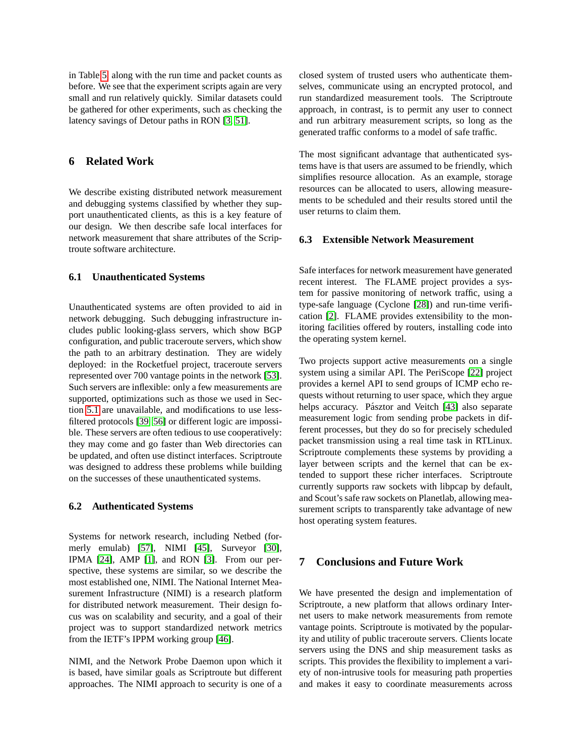in Table [5,](#page-10-3) along with the run time and packet counts as before. We see that the experiment scripts again are very small and run relatively quickly. Similar datasets could be gathered for other experiments, such as checking the latency savings of Detour paths in RON [\[3,](#page-12-1) [51\]](#page-13-3).

### **6 Related Work**

We describe existing distributed network measurement and debugging systems classified by whether they support unauthenticated clients, as this is a key feature of our design. We then describe safe local interfaces for network measurement that share attributes of the Scriptroute software architecture.

### **6.1 Unauthenticated Systems**

Unauthenticated systems are often provided to aid in network debugging. Such debugging infrastructure includes public looking-glass servers, which show BGP configuration, and public traceroute servers, which show the path to an arbitrary destination. They are widely deployed: in the Rocketfuel project, traceroute servers represented over 700 vantage points in the network [\[53\]](#page-13-0). Such servers are inflexible: only a few measurements are supported, optimizations such as those we used in Section [5.1](#page-9-0) are unavailable, and modifications to use lessfiltered protocols [\[39,](#page-13-27) [56\]](#page-13-14) or different logic are impossible. These servers are often tedious to use cooperatively: they may come and go faster than Web directories can be updated, and often use distinct interfaces. Scriptroute was designed to address these problems while building on the successes of these unauthenticated systems.

#### **6.2 Authenticated Systems**

Systems for network research, including Netbed (formerly emulab) [\[57\]](#page-13-28), NIMI [\[45\]](#page-13-4), Surveyor [\[30\]](#page-13-29), IPMA [\[24\]](#page-12-21), AMP [\[1\]](#page-12-22), and RON [\[3\]](#page-12-1). From our perspective, these systems are similar, so we describe the most established one, NIMI. The National Internet Measurement Infrastructure (NIMI) is a research platform for distributed network measurement. Their design focus was on scalability and security, and a goal of their project was to support standardized network metrics from the IETF's IPPM working group [\[46\]](#page-13-30).

NIMI, and the Network Probe Daemon upon which it is based, have similar goals as Scriptroute but different approaches. The NIMI approach to security is one of a closed system of trusted users who authenticate themselves, communicate using an encrypted protocol, and run standardized measurement tools. The Scriptroute approach, in contrast, is to permit any user to connect and run arbitrary measurement scripts, so long as the generated traffic conforms to a model of safe traffic.

The most significant advantage that authenticated systems have is that users are assumed to be friendly, which simplifies resource allocation. As an example, storage resources can be allocated to users, allowing measurements to be scheduled and their results stored until the user returns to claim them.

#### **6.3 Extensible Network Measurement**

Safe interfaces for network measurement have generated recent interest. The FLAME project provides a system for passive monitoring of network traffic, using a type-safe language (Cyclone [\[28\]](#page-13-31)) and run-time verification [\[2\]](#page-12-19). FLAME provides extensibility to the monitoring facilities offered by routers, installing code into the operating system kernel.

Two projects support active measurements on a single system using a similar API. The PeriScope [\[22\]](#page-12-23) project provides a kernel API to send groups of ICMP echo requests without returning to user space, which they argue helps accuracy. Pásztor and Veitch [\[43\]](#page-13-32) also separate measurement logic from sending probe packets in different processes, but they do so for precisely scheduled packet transmission using a real time task in RTLinux. Scriptroute complements these systems by providing a layer between scripts and the kernel that can be extended to support these richer interfaces. Scriptroute currently supports raw sockets with libpcap by default, and Scout's safe raw sockets on Planetlab, allowing measurement scripts to transparently take advantage of new host operating system features.

## **7 Conclusions and Future Work**

We have presented the design and implementation of Scriptroute, a new platform that allows ordinary Internet users to make network measurements from remote vantage points. Scriptroute is motivated by the popularity and utility of public traceroute servers. Clients locate servers using the DNS and ship measurement tasks as scripts. This provides the flexibility to implement a variety of non-intrusive tools for measuring path properties and makes it easy to coordinate measurements across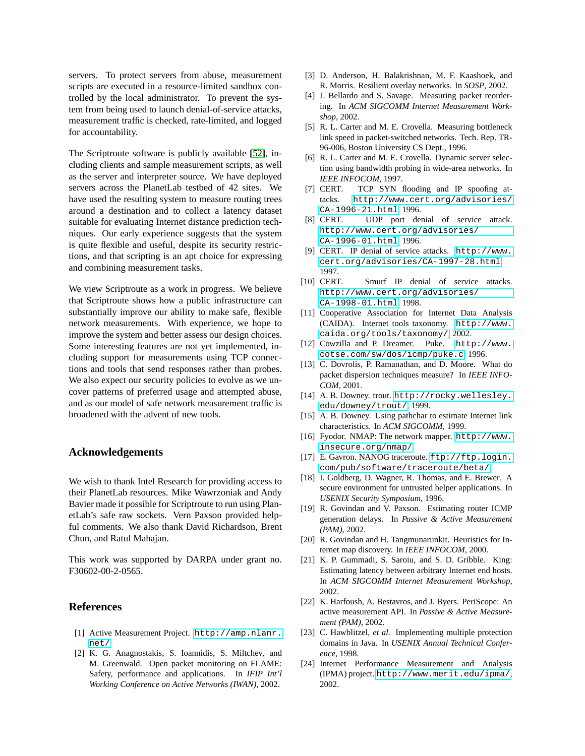servers. To protect servers from abuse, measurement scripts are executed in a resource-limited sandbox controlled by the local administrator. To prevent the system from being used to launch denial-of-service attacks, measurement traffic is checked, rate-limited, and logged for accountability.

The Scriptroute software is publicly available [\[52\]](#page-13-9), including clients and sample measurement scripts, as well as the server and interpreter source. We have deployed servers across the PlanetLab testbed of 42 sites. We have used the resulting system to measure routing trees around a destination and to collect a latency dataset suitable for evaluating Internet distance prediction techniques. Our early experience suggests that the system is quite flexible and useful, despite its security restrictions, and that scripting is an apt choice for expressing and combining measurement tasks.

We view Scriptroute as a work in progress. We believe that Scriptroute shows how a public infrastructure can substantially improve our ability to make safe, flexible network measurements. With experience, we hope to improve the system and better assess our design choices. Some interesting features are not yet implemented, including support for measurements using TCP connections and tools that send responses rather than probes. We also expect our security policies to evolve as we uncover patterns of preferred usage and attempted abuse, and as our model of safe network measurement traffic is broadened with the advent of new tools.

#### **Acknowledgements**

We wish to thank Intel Research for providing access to their PlanetLab resources. Mike Wawrzoniak and Andy Bavier made it possible for Scriptroute to run using PlanetLab's safe raw sockets. Vern Paxson provided helpful comments. We also thank David Richardson, Brent Chun, and Ratul Mahajan.

This work was supported by DARPA under grant no. F30602-00-2-0565.

#### **References**

- <span id="page-12-22"></span>[1] Active Measurement Project. [http://amp.nlanr.](http://amp.nlanr.net/) [net/](http://amp.nlanr.net/).
- <span id="page-12-19"></span>[2] K. G. Anagnostakis, S. Ioannidis, S. Miltchev, and M. Greenwald. Open packet monitoring on FLAME: Safety, performance and applications. In *IFIP Int'l Working Conference on Active Networks (IWAN)*, 2002.
- <span id="page-12-1"></span>[3] D. Anderson, H. Balakrishnan, M. F. Kaashoek, and R. Morris. Resilient overlay networks. In *SOSP*, 2002.
- <span id="page-12-4"></span>[4] J. Bellardo and S. Savage. Measuring packet reordering. In *ACM SIGCOMM Internet Measurement Workshop*, 2002.
- <span id="page-12-3"></span>[5] R. L. Carter and M. E. Crovella. Measuring bottleneck link speed in packet-switched networks. Tech. Rep. TR-96-006, Boston University CS Dept., 1996.
- <span id="page-12-9"></span>[6] R. L. Carter and M. E. Crovella. Dynamic server selection using bandwidth probing in wide-area networks. In *IEEE INFOCOM*, 1997.
- <span id="page-12-18"></span>[7] CERT. TCP SYN flooding and IP spoofing attacks. [http://www.cert.org/advisories/](http://www.cert.org/advisories/CA-1996-21.html) [CA-1996-21.html](http://www.cert.org/advisories/CA-1996-21.html), 1996.
- <span id="page-12-14"></span>[8] CERT. UDP port denial of service attack. [http://www.cert.org/advisories/](http://www.cert.org/advisories/CA-1996-01.html) [CA-1996-01.html](http://www.cert.org/advisories/CA-1996-01.html), 1996.
- <span id="page-12-15"></span>[9] CERT. IP denial of service attacks. [http://www.](http://www.cert.org/advisories/CA-1997-28.html) [cert.org/advisories/CA-1997-28.html](http://www.cert.org/advisories/CA-1997-28.html), 1997.
- <span id="page-12-17"></span>[10] CERT. Smurf IP denial of service attacks. [http://www.cert.org/advisories/](http://www.cert.org/advisories/CA-1998-01.html) [CA-1998-01.html](http://www.cert.org/advisories/CA-1998-01.html), 1998.
- <span id="page-12-13"></span>[11] Cooperative Association for Internet Data Analysis (CAIDA). Internet tools taxonomy. [http://www.](http://www.caida.org/tools/taxonomy/) [caida.org/tools/taxonomy/](http://www.caida.org/tools/taxonomy/), 2002.
- <span id="page-12-16"></span>[12] Cowzilla and P. Dreamer. Puke. [http://www.](http://www.cotse.com/sw/dos/icmp/puke.c) [cotse.com/sw/dos/icmp/puke.c](http://www.cotse.com/sw/dos/icmp/puke.c), 1996.
- <span id="page-12-8"></span>[13] C. Dovrolis, P. Ramanathan, and D. Moore. What do packet dispersion techniques measure? In *IEEE INFO-COM*, 2001.
- <span id="page-12-20"></span>[14] A.B. Downey. trout. [http://rocky.wellesley.](http://rocky.wellesley.edu/downey/trout/) [edu/downey/trout/](http://rocky.wellesley.edu/downey/trout/), 1999.
- <span id="page-12-7"></span>[15] A. B. Downey. Using pathchar to estimate Internet link characteristics. In *ACM SIGCOMM*, 1999.
- <span id="page-12-11"></span>[16] Fyodor. NMAP: The network mapper. [http://www.](http://www.insecure.org/nmap/) [insecure.org/nmap/](http://www.insecure.org/nmap/).
- <span id="page-12-2"></span>[17] E. Gavron. NANOG traceroute. [ftp://ftp.login.](ftp://ftp.login.com/pub/software/traceroute/beta/) [com/pub/software/traceroute/beta/](ftp://ftp.login.com/pub/software/traceroute/beta/).
- <span id="page-12-5"></span>[18] I. Goldberg, D. Wagner, R. Thomas, and E. Brewer. A secure environment for untrusted helper applications. In *USENIX Security Symposium*, 1996.
- <span id="page-12-12"></span>[19] R. Govindan and V. Paxson. Estimating router ICMP generation delays. In *Passive & Active Measurement (PAM)*, 2002.
- <span id="page-12-0"></span>[20] R. Govindan and H. Tangmunarunkit. Heuristics for Internet map discovery. In *IEEE INFOCOM*, 2000.
- <span id="page-12-10"></span>[21] K. P. Gummadi, S. Saroiu, and S. D. Gribble. King: Estimating latency between arbitrary Internet end hosts. In *ACM SIGCOMM Internet Measurement Workshop*, 2002.
- <span id="page-12-23"></span>[22] K. Harfoush, A. Bestavros, and J. Byers. PeriScope: An active measurement API. In *Passive & Active Measurement (PAM)*, 2002.
- <span id="page-12-6"></span>[23] C. Hawblitzel, *et al.* Implementing multiple protection domains in Java. In *USENIX Annual Technical Conference*, 1998.
- <span id="page-12-21"></span>[24] Internet Performance Measurement and Analysis (IPMA) project. <http://www.merit.edu/ipma/>, 2002.